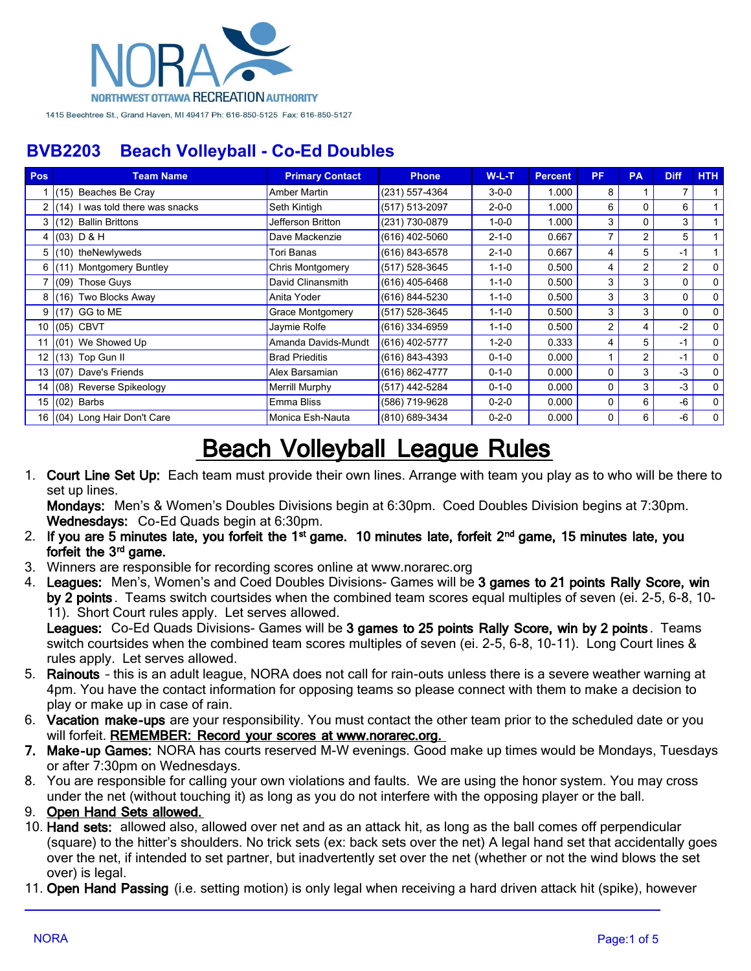

| Pos             | <b>Team Name</b>                 | <b>Primary Contact</b>  | <b>Phone</b>       | $W-L-T$     | <b>Percent</b> | <b>PF</b>      | <b>PA</b>      | <b>Diff</b>    | HTH          |
|-----------------|----------------------------------|-------------------------|--------------------|-------------|----------------|----------------|----------------|----------------|--------------|
|                 | (15) Beaches Be Cray             | Amber Martin            | $(231)$ 557-4364   | $3 - 0 - 0$ | 1.000          | 8              |                |                |              |
|                 | (14) I was told there was snacks | Seth Kintigh            | (517) 513-2097     | $2 - 0 - 0$ | 1.000          | 6              | 0              | 6              |              |
| 3               | (12) Ballin Brittons             | Jefferson Britton       | (231) 730-0879     | $1 - 0 - 0$ | 1.000          | 3              | 0              | 3              |              |
| 4               | $(03)$ D & H                     | Dave Mackenzie          | (616) 402-5060     | $2 - 1 - 0$ | 0.667          |                | 2              | 5              |              |
| 5               | (10) the Newlyweds               | Tori Banas              | (616) 843-6578     | $2 - 1 - 0$ | 0.667          | 4              | 5              | -1             |              |
| 6               | (11) Montgomery Buntley          | <b>Chris Montgomery</b> | (517) 528-3645     | $1 - 1 - 0$ | 0.500          | 4              | $\overline{2}$ | $\overline{2}$ | $\mathbf{0}$ |
|                 | (09) Those Guys                  | David Clinansmith       | (616) 405-6468     | $1 - 1 - 0$ | 0.500          | 3              | 3              | 0              | $\mathbf{0}$ |
| 8               | (16) Two Blocks Away             | Anita Yoder             | (616) 844-5230     | $1 - 1 - 0$ | 0.500          | 3              | 3              | $\Omega$       | $\mathbf{0}$ |
| 9               | $(17)$ GG to ME                  | <b>Grace Montgomery</b> | $(517) 528 - 3645$ | $1 - 1 - 0$ | 0.500          | 3              | 3              | $\Omega$       | $\mathbf{0}$ |
| 10 I            | (05) CBVT                        | Jaymie Rolfe            | (616) 334-6959     | $1 - 1 - 0$ | 0.500          | $\overline{2}$ | 4              | $-2$           | $\mathbf{0}$ |
|                 | 11 $(01)$ We Showed Up           | Amanda Davids-Mundt     | $(616)$ 402-5777   | $1 - 2 - 0$ | 0.333          | 4              | 5              | -1             | $\mathbf{0}$ |
| 12              | $(13)$ Top Gun II                | <b>Brad Prieditis</b>   | (616) 843-4393     | $0 - 1 - 0$ | 0.000          |                | $\overline{2}$ | $-1$           | $\Omega$     |
| 13 I            | (07) Dave's Friends              | Alex Barsamian          | (616) 862-4777     | $0 - 1 - 0$ | 0.000          | $\Omega$       | 3              | $-3$           | $\mathbf{0}$ |
| 14 <sup>1</sup> | (08) Reverse Spikeology          | <b>Merrill Murphy</b>   | (517) 442-5284     | $0 - 1 - 0$ | 0.000          | $\Omega$       | 3              | $-3$           | $\mathbf{0}$ |
|                 | 15 $(02)$ Barbs                  | Emma Bliss              | (586) 719-9628     | $0 - 2 - 0$ | 0.000          | $\Omega$       | 6              | -6             | $\mathbf{0}$ |
|                 | 16 (04) Long Hair Don't Care     | Monica Esh-Nauta        | (810) 689-3434     | $0 - 2 - 0$ | 0.000          | 0              | 6              | -6             | 0            |

# **Beach Volleyball League Rules**

1. **Court Line Set Up:** Each team must provide their own lines. Arrange with team you play as to who will be there to set up lines.

**Mondays:** Men's & Women's Doubles Divisions begin at 6:30pm. Coed Doubles Division begins at 7:30pm. **Wednesdays:** Co-Ed Quads begin at 6:30pm.

- 2. If you are 5 minutes late, you forfeit the 1<sup>st</sup> game. 10 minutes late, forfeit 2<sup>nd</sup> game, 15 minutes late, you forfeit the 3<sup>rd</sup> game.
- 3. Winners are responsible for recording scores online at www.norarec.org
- 4. **Leagues:** Men's, Women's and Coed Doubles Divisions- Games will be **3 games to 21 points Rally Score, win by 2 points** . Teams switch courtsides when the combined team scores equal multiples of seven (ei. 2-5, 6-8, 10- 11). Short Court rules apply. Let serves allowed. **Leagues:** Co-Ed Quads Divisions- Games will be **3 games to 25 points Rally Score, win by 2 points** . Teams

switch courtsides when the combined team scores multiples of seven (ei. 2-5, 6-8, 10-11). Long Court lines & rules apply. Let serves allowed.

- 5. **Rainouts** this is an adult league, NORA does not call for rain-outs unless there is a severe weather warning at 4pm. You have the contact information for opposing teams so please connect with them to make a decision to play or make up in case of rain.
- 6. **Vacation make-ups** are your responsibility. You must contact the other team prior to the scheduled date or you will forfeit. **REMEMBER: Record your scores at www.norarec.org.**
- **7. Make-up Games:** NORA has courts reserved M-W evenings. Good make up times would be Mondays, Tuesdays or after 7:30pm on Wednesdays.
- 8. You are responsible for calling your own violations and faults. We are using the honor system. You may cross under the net (without touching it) as long as you do not interfere with the opposing player or the ball.
- 9. **Open Hand Sets allowed.**
- 10. **Hand sets:** allowed also, allowed over net and as an attack hit, as long as the ball comes off perpendicular (square) to the hitter's shoulders. No trick sets (ex: back sets over the net) A legal hand set that accidentally goes over the net, if intended to set partner, but inadvertently set over the net (whether or not the wind blows the set over) is legal.
- 11. **Open Hand Passing** (i.e. setting motion) is only legal when receiving a hard driven attack hit (spike), however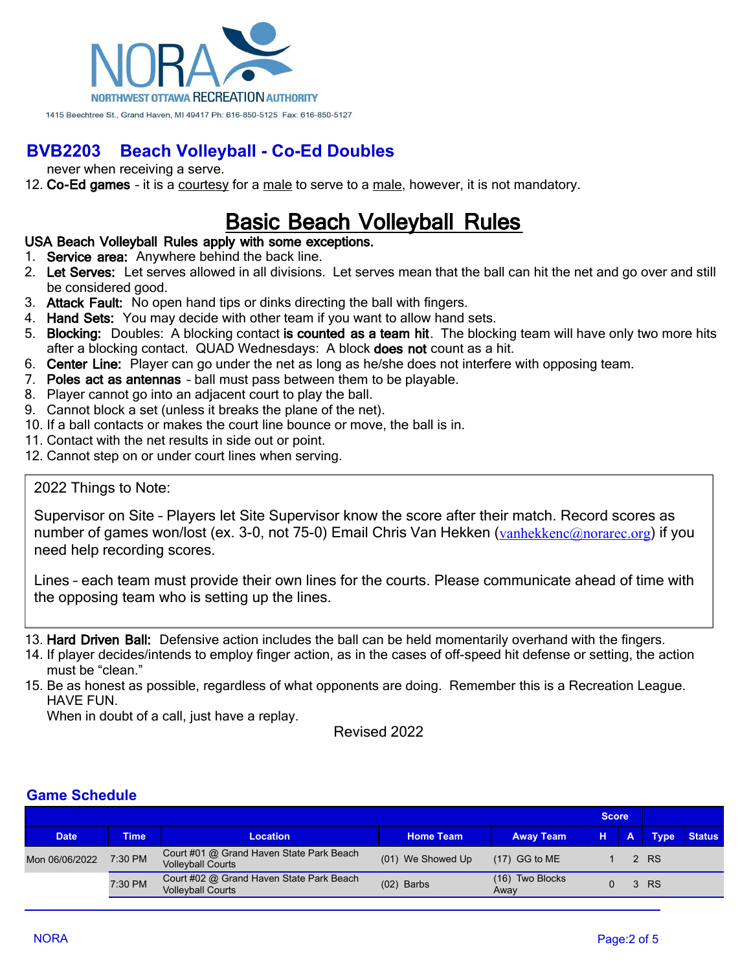

never when receiving a serve.

12. **Co-Ed games** – it is a courtesy for a male to serve to a male, however, it is not mandatory.

## **Basic Beach Volleyball Rules**

#### **USA Beach Volleyball Rules apply with some exceptions.**

- 1. **Service area:** Anywhere behind the back line.
- 2. **Let Serves:** Let serves allowed in all divisions. Let serves mean that the ball can hit the net and go over and still be considered good.
- 3. **Attack Fault:** No open hand tips or dinks directing the ball with fingers.
- 4. **Hand Sets:** You may decide with other team if you want to allow hand sets.
- 5. **Blocking:** Doubles: A blocking contact **is counted as a team hit**. The blocking team will have only two more hits after a blocking contact. QUAD Wednesdays: A block **does not** count as a hit.
- 6. **Center Line:** Player can go under the net as long as he/she does not interfere with opposing team.
- 7. **Poles act as antennas** ball must pass between them to be playable.
- 8. Player cannot go into an adjacent court to play the ball.
- 9. Cannot block a set (unless it breaks the plane of the net).
- 10. If a ball contacts or makes the court line bounce or move, the ball is in.
- 11. Contact with the net results in side out or point.
- 12. Cannot step on or under court lines when serving.

#### 2022 Things to Note:

Supervisor on Site – Players let Site Supervisor know the score after their match. Record scores as number of games won/lost (ex. 3-0, not 75-0) Email Chris Van Hekken ([vanhekkenc@norarec.org](mailto:vanhekkenc@norarec.org)) if you need help recording scores.

Lines – each team must provide their own lines for the courts. Please communicate ahead of time with the opposing team who is setting up the lines.

13. **Hard Driven Ball:** Defensive action includes the ball can be held momentarily overhand with the fingers.

14. If player decides/intends to employ finger action, as in the cases of off-speed hit defense or setting, the action must be "clean."

15. Be as honest as possible, regardless of what opponents are doing. Remember this is a Recreation League. HAVE FUN.

When in doubt of a call, just have a replay.

Revised 2022

#### **Game Schedule**

|                |             |                                                                      |                   |                         | <b>Score</b> |  |             |               |
|----------------|-------------|----------------------------------------------------------------------|-------------------|-------------------------|--------------|--|-------------|---------------|
| <b>Date</b>    | <b>Time</b> | <b>Location</b>                                                      | <b>Home Team</b>  | <b>Away Team</b>        | н.           |  | <b>Type</b> | <b>Status</b> |
| Mon 06/06/2022 | 7:30 PM     | Court #01 @ Grand Haven State Park Beach<br><b>Volleyball Courts</b> | (01) We Showed Up | $(17)$ GG to ME         |              |  | 2 RS        |               |
|                | 7:30 PM     | Court #02 @ Grand Haven State Park Beach<br><b>Volleyball Courts</b> | $(02)$ Barbs      | (16) Two Blocks<br>Away |              |  | 3 RS        |               |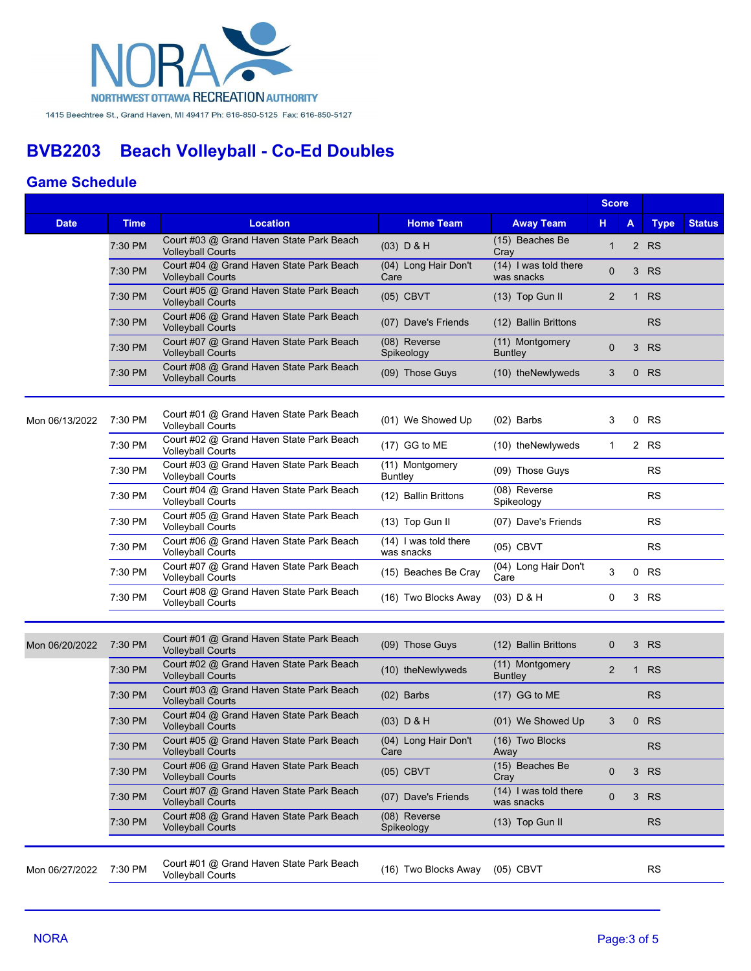

### **Game Schedule**

|                |             |                                                                                                                                         |                                     | <b>Score</b>                        |                |              |             |               |
|----------------|-------------|-----------------------------------------------------------------------------------------------------------------------------------------|-------------------------------------|-------------------------------------|----------------|--------------|-------------|---------------|
| <b>Date</b>    | <b>Time</b> | <b>Location</b>                                                                                                                         | <b>Home Team</b>                    | <b>Away Team</b>                    | н              | А            | <b>Type</b> | <b>Status</b> |
|                | 7:30 PM     | Court #03 @ Grand Haven State Park Beach<br><b>Volleyball Courts</b>                                                                    | $(03)$ D & H                        | (15) Beaches Be<br>Cray             | $\mathbf 1$    |              | 2 RS        |               |
|                | 7:30 PM     | Court #04 @ Grand Haven State Park Beach<br><b>Volleyball Courts</b>                                                                    | (04) Long Hair Don't<br>Care        | (14) I was told there<br>was snacks | $\mathbf 0$    |              | 3 RS        |               |
|                | 7:30 PM     | Court #05 @ Grand Haven State Park Beach<br><b>Volleyball Courts</b>                                                                    | $(05)$ CBVT                         | (13) Top Gun II                     | $\overline{2}$ | $\mathbf{1}$ | <b>RS</b>   |               |
|                | 7:30 PM     | Court #06 @ Grand Haven State Park Beach<br><b>Volleyball Courts</b>                                                                    | (07) Dave's Friends                 | (12) Ballin Brittons                |                |              | <b>RS</b>   |               |
|                | 7:30 PM     | Court #07 @ Grand Haven State Park Beach<br>(08) Reverse<br>(11) Montgomery<br><b>Volleyball Courts</b><br>Spikeology<br><b>Buntley</b> |                                     | 0                                   | 3              | <b>RS</b>    |             |               |
|                | 7:30 PM     | Court #08 @ Grand Haven State Park Beach<br><b>Volleyball Courts</b>                                                                    | (09) Those Guys                     | (10) theNewlyweds                   | 3              |              | $0$ RS      |               |
|                |             |                                                                                                                                         |                                     |                                     |                |              |             |               |
| Mon 06/13/2022 | 7:30 PM     | Court #01 @ Grand Haven State Park Beach<br><b>Volleyball Courts</b>                                                                    | (01) We Showed Up                   | $(02)$ Barbs                        | 3              | 0            | <b>RS</b>   |               |
|                | 7:30 PM     | Court #02 @ Grand Haven State Park Beach<br><b>Volleyball Courts</b>                                                                    | $(17)$ GG to ME                     | (10) theNewlyweds                   | $\mathbf{1}$   |              | 2 RS        |               |
|                | 7:30 PM     | Court #03 @ Grand Haven State Park Beach<br><b>Volleyball Courts</b>                                                                    | (11) Montgomery<br>Buntley          | (09) Those Guys                     |                |              | <b>RS</b>   |               |
|                | 7:30 PM     | Court #04 @ Grand Haven State Park Beach<br><b>Volleyball Courts</b>                                                                    | (12) Ballin Brittons                | (08) Reverse<br>Spikeology          |                |              | <b>RS</b>   |               |
|                | 7:30 PM     | Court #05 @ Grand Haven State Park Beach<br><b>Volleyball Courts</b>                                                                    | (13) Top Gun II                     | (07) Dave's Friends                 |                |              | <b>RS</b>   |               |
|                | 7:30 PM     | Court #06 @ Grand Haven State Park Beach<br><b>Volleyball Courts</b>                                                                    | (14) I was told there<br>was snacks | (05) CBVT                           |                |              | <b>RS</b>   |               |
|                | 7:30 PM     | Court #07 @ Grand Haven State Park Beach<br><b>Volleyball Courts</b>                                                                    | (15) Beaches Be Cray                | (04) Long Hair Don't<br>Care        | 3              |              | 0 RS        |               |
|                | 7:30 PM     | Court #08 @ Grand Haven State Park Beach<br><b>Volleyball Courts</b>                                                                    | (16) Two Blocks Away                | $(03)$ D & H                        | 0              |              | 3 RS        |               |
|                |             |                                                                                                                                         |                                     |                                     |                |              |             |               |
| Mon 06/20/2022 | 7:30 PM     | Court #01 @ Grand Haven State Park Beach<br><b>Volleyball Courts</b>                                                                    | (09) Those Guys                     | (12) Ballin Brittons                | $\mathbf 0$    |              | 3 RS        |               |
|                | 7:30 PM     | Court #02 @ Grand Haven State Park Beach<br><b>Volleyball Courts</b>                                                                    | (10) theNewlyweds                   | (11) Montgomery<br><b>Buntley</b>   | 2              | $\mathbf{1}$ | <b>RS</b>   |               |
|                | 7:30 PM     | Court #03 @ Grand Haven State Park Beach<br><b>Volleyball Courts</b>                                                                    | $(02)$ Barbs                        | $(17)$ GG to ME                     |                |              | <b>RS</b>   |               |
|                | 7:30 PM     | Court #04 @ Grand Haven State Park Beach<br><b>Volleyball Courts</b>                                                                    | $(03)$ D & H                        | (01) We Showed Up                   | 3              |              | $0$ RS      |               |
|                | 7:30 PM     | Court #05 @ Grand Haven State Park Beach<br><b>Volleyball Courts</b>                                                                    | (04) Long Hair Don't<br>Care        | (16) Two Blocks<br>Away             |                |              | <b>RS</b>   |               |
|                | 7:30 PM     | Court #06 @ Grand Haven State Park Beach<br><b>Volleyball Courts</b>                                                                    | $(05)$ CBVT                         | (15) Beaches Be<br>Cray             | $\mathbf 0$    |              | 3 RS        |               |
|                | 7:30 PM     | Court #07 @ Grand Haven State Park Beach<br><b>Volleyball Courts</b>                                                                    | (07) Dave's Friends                 | (14) I was told there<br>was snacks | 0              | 3            | <b>RS</b>   |               |
|                | 7:30 PM     | Court #08 @ Grand Haven State Park Beach<br><b>Volleyball Courts</b>                                                                    | (08) Reverse<br>Spikeology          | (13) Top Gun II                     |                |              | <b>RS</b>   |               |
|                |             |                                                                                                                                         |                                     |                                     |                |              |             |               |
| Mon 06/27/2022 | 7:30 PM     | Court #01 @ Grand Haven State Park Beach<br><b>Volleyball Courts</b>                                                                    | (16) Two Blocks Away                | $(05)$ CBVT                         |                |              | <b>RS</b>   |               |
|                |             |                                                                                                                                         |                                     |                                     |                |              |             |               |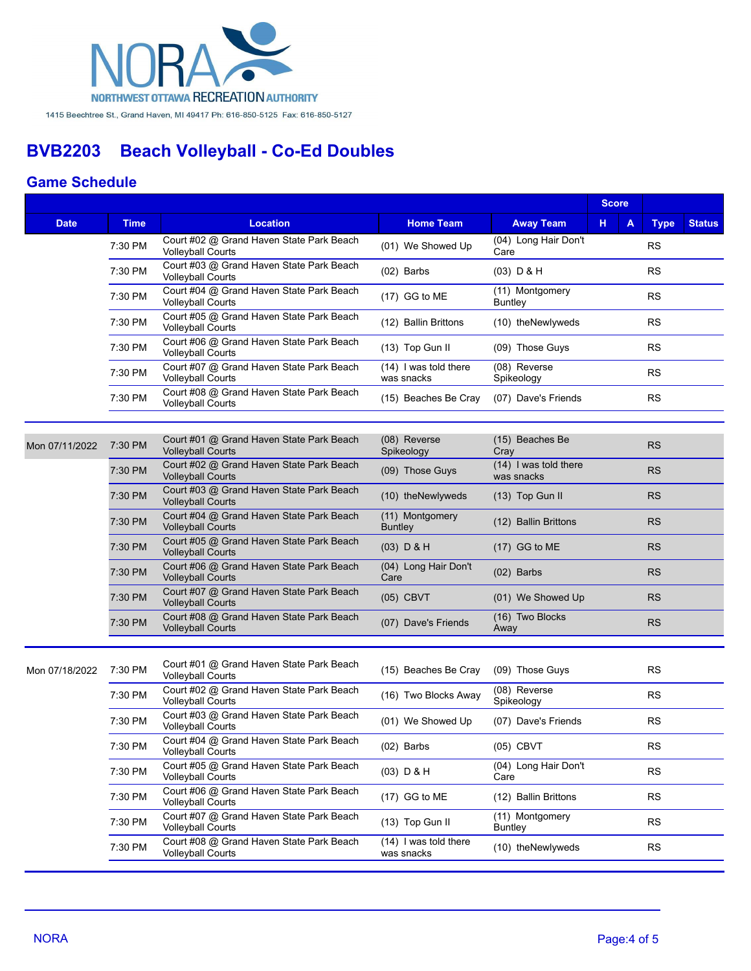

#### **Game Schedule**

|                |             |                                                                      |                                       |                                     | <b>Score</b> |             |               |
|----------------|-------------|----------------------------------------------------------------------|---------------------------------------|-------------------------------------|--------------|-------------|---------------|
| <b>Date</b>    | <b>Time</b> | <b>Location</b>                                                      | <b>Home Team</b>                      | <b>Away Team</b>                    | н<br>A       | <b>Type</b> | <b>Status</b> |
|                | 7:30 PM     | Court #02 @ Grand Haven State Park Beach<br><b>Volleyball Courts</b> | (01) We Showed Up                     | (04) Long Hair Don't<br>Care        |              | <b>RS</b>   |               |
|                | 7:30 PM     | Court #03 @ Grand Haven State Park Beach<br><b>Volleyball Courts</b> | $(02)$ Barbs                          | $(03)$ D & H                        |              | <b>RS</b>   |               |
|                | 7:30 PM     | Court #04 @ Grand Haven State Park Beach<br><b>Volleyball Courts</b> | (17) GG to ME                         | (11) Montgomery<br><b>Buntley</b>   |              | <b>RS</b>   |               |
|                | 7:30 PM     | Court #05 @ Grand Haven State Park Beach<br><b>Volleyball Courts</b> | (12) Ballin Brittons                  | (10) theNewlyweds                   |              | <b>RS</b>   |               |
|                | 7:30 PM     | Court #06 @ Grand Haven State Park Beach<br><b>Volleyball Courts</b> | (13) Top Gun II                       | (09) Those Guys                     |              | <b>RS</b>   |               |
|                | 7:30 PM     | Court #07 @ Grand Haven State Park Beach<br><b>Volleyball Courts</b> | $(14)$ I was told there<br>was snacks | (08) Reverse<br>Spikeology          |              | <b>RS</b>   |               |
|                | 7:30 PM     | Court #08 @ Grand Haven State Park Beach<br><b>Volleyball Courts</b> | (15) Beaches Be Cray                  | (07) Dave's Friends                 |              | <b>RS</b>   |               |
|                |             |                                                                      |                                       |                                     |              |             |               |
| Mon 07/11/2022 | 7:30 PM     | Court #01 @ Grand Haven State Park Beach<br><b>Volleyball Courts</b> | (08) Reverse<br>Spikeology            | (15) Beaches Be<br>Cray             |              | <b>RS</b>   |               |
|                | 7:30 PM     | Court #02 @ Grand Haven State Park Beach<br><b>Volleyball Courts</b> | (09) Those Guys                       | (14) I was told there<br>was snacks |              | <b>RS</b>   |               |
|                | 7:30 PM     | Court #03 @ Grand Haven State Park Beach<br><b>Volleyball Courts</b> | (10) theNewlyweds                     | (13) Top Gun II                     |              | <b>RS</b>   |               |
|                | 7:30 PM     | Court #04 @ Grand Haven State Park Beach<br><b>Volleyball Courts</b> | $(11)$ Montgomery<br><b>Buntley</b>   | (12) Ballin Brittons                |              | <b>RS</b>   |               |
|                | 7:30 PM     | Court #05 @ Grand Haven State Park Beach<br><b>Volleyball Courts</b> | $(03)$ D & H                          | $(17)$ GG to ME                     |              | <b>RS</b>   |               |
|                | 7:30 PM     | Court #06 @ Grand Haven State Park Beach<br><b>Volleyball Courts</b> | (04) Long Hair Don't<br>Care          | $(02)$ Barbs                        |              | <b>RS</b>   |               |
|                | 7:30 PM     | Court #07 @ Grand Haven State Park Beach<br><b>Volleyball Courts</b> | $(05)$ CBVT                           | (01) We Showed Up                   |              | <b>RS</b>   |               |
|                | 7:30 PM     | Court #08 @ Grand Haven State Park Beach<br><b>Volleyball Courts</b> | (07) Dave's Friends                   | (16) Two Blocks<br>Away             |              | <b>RS</b>   |               |
|                |             |                                                                      |                                       |                                     |              |             |               |
| Mon 07/18/2022 | 7:30 PM     | Court #01 @ Grand Haven State Park Beach<br><b>Volleyball Courts</b> | (15) Beaches Be Cray                  | (09) Those Guys                     |              | <b>RS</b>   |               |
|                | 7:30 PM     | Court #02 @ Grand Haven State Park Beach<br><b>Volleyball Courts</b> | (16) Two Blocks Away                  | (08) Reverse<br>Spikeology          |              | <b>RS</b>   |               |
|                | 7:30 PM     | Court #03 @ Grand Haven State Park Beach<br><b>Volleyball Courts</b> | (01) We Showed Up                     | (07) Dave's Friends                 |              | <b>RS</b>   |               |
|                | 7:30 PM     | Court #04 @ Grand Haven State Park Beach<br><b>Volleyball Courts</b> | $(02)$ Barbs                          | $(05)$ CBVT                         |              | RS          |               |
|                | 7:30 PM     | Court #05 @ Grand Haven State Park Beach<br><b>Volleyball Courts</b> | $(03)$ D & H                          | (04) Long Hair Don't<br>Care        |              | <b>RS</b>   |               |
|                | 7:30 PM     | Court #06 @ Grand Haven State Park Beach<br><b>Volleyball Courts</b> | (17) GG to ME                         | (12) Ballin Brittons                |              | <b>RS</b>   |               |
|                | 7:30 PM     | Court #07 @ Grand Haven State Park Beach<br><b>Volleyball Courts</b> | (13) Top Gun II                       | (11) Montgomery<br><b>Buntley</b>   |              | <b>RS</b>   |               |
|                | 7:30 PM     | Court #08 @ Grand Haven State Park Beach<br><b>Volleyball Courts</b> | (14) I was told there<br>was snacks   | (10) theNewlyweds                   |              | <b>RS</b>   |               |
|                |             |                                                                      |                                       |                                     |              |             |               |